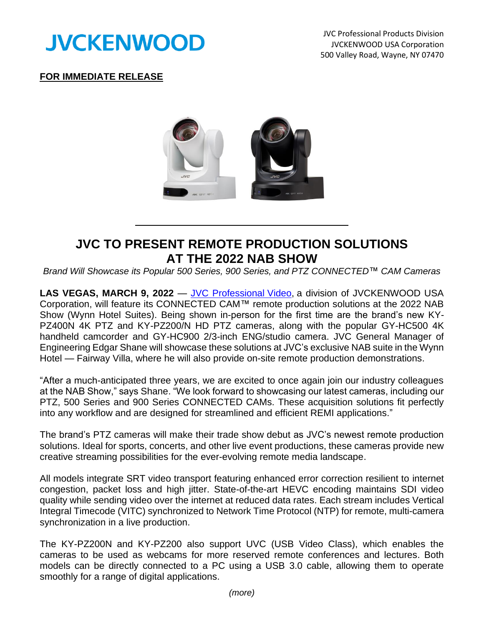

JVC Professional Products Division JVCKENWOOD USA Corporation 500 Valley Road, Wayne, NY 07470

## **FOR IMMEDIATE RELEASE**



## **JVC TO PRESENT REMOTE PRODUCTION SOLUTIONS AT THE 2022 NAB SHOW**

*Brand Will Showcase its Popular 500 Series, 900 Series, and PTZ CONNECTED*™ *CAM Cameras*

**LAS VEGAS, MARCH 9, 2022** — [JVC Professional](http://pro.jvc.com/prof/main.jsp) Video, a division of JVCKENWOOD USA Corporation, will feature its CONNECTED CAM™ remote production solutions at the 2022 NAB Show (Wynn Hotel Suites). Being shown in-person for the first time are the brand's new KY-PZ400N 4K PTZ and KY-PZ200/N HD PTZ cameras, along with the popular GY-HC500 4K handheld camcorder and GY-HC900 2/3-inch ENG/studio camera. JVC General Manager of Engineering Edgar Shane will showcase these solutions at JVC's exclusive NAB suite in the Wynn Hotel — Fairway Villa, where he will also provide on-site remote production demonstrations.

"After a much-anticipated three years, we are excited to once again join our industry colleagues at the NAB Show," says Shane. "We look forward to showcasing our latest cameras, including our PTZ, 500 Series and 900 Series CONNECTED CAMs. These acquisition solutions fit perfectly into any workflow and are designed for streamlined and efficient REMI applications."

The brand's PTZ cameras will make their trade show debut as JVC's newest remote production solutions. Ideal for sports, concerts, and other live event productions, these cameras provide new creative streaming possibilities for the ever-evolving remote media landscape.

All models integrate SRT video transport featuring enhanced error correction resilient to internet congestion, packet loss and high jitter. State-of-the-art HEVC encoding maintains SDI video quality while sending video over the internet at reduced data rates. Each stream includes Vertical Integral Timecode (VITC) synchronized to Network Time Protocol (NTP) for remote, multi-camera synchronization in a live production.

The KY-PZ200N and KY-PZ200 also support UVC (USB Video Class), which enables the cameras to be used as webcams for more reserved remote conferences and lectures. Both models can be directly connected to a PC using a USB 3.0 cable, allowing them to operate smoothly for a range of digital applications.